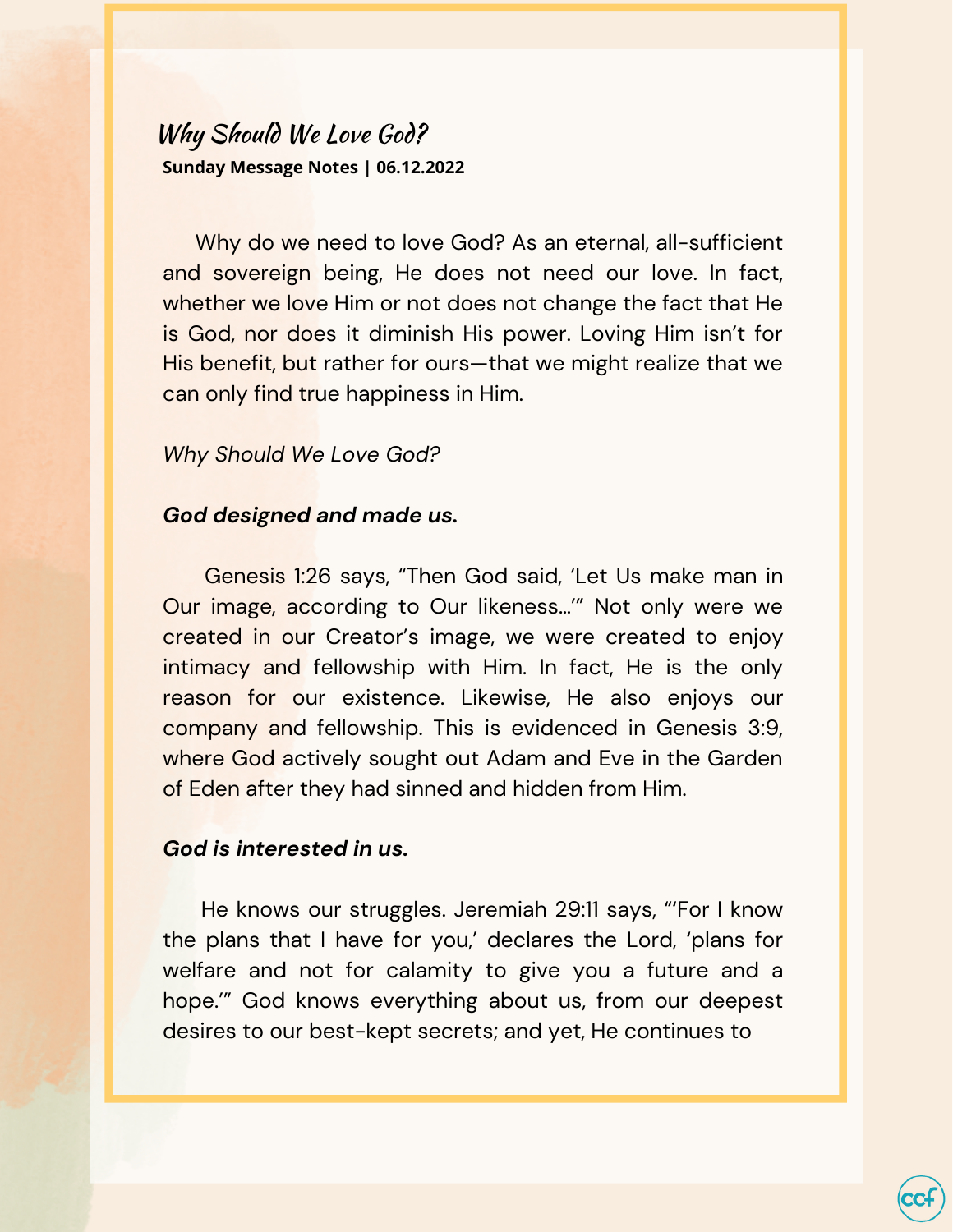# Why Should We Love God? **Sunday Message Notes | 06.12.2022**

Why do we need to love God? As an eternal, all-sufficient and sovereign being, He does not need our love. In fact, whether we love Him or not does not change the fact that He is God, nor does it diminish His power. Loving Him isn't for His benefit, but rather for ours—that we might realize that we can only find true happiness in Him.

### *Why Should We Love God?*

#### *God designed and made us.*

Genesis 1:26 says, "Then God said, 'Let Us make man in Our image, according to Our likeness…'" Not only were we created in our Creator's image, we were created to enjoy intimacy and fellowship with Him. In fact, He is the only reason for our existence. Likewise, He also enjoys our company and fellowship. This is evidenced in Genesis 3:9, where God actively sought out Adam and Eve in the Garden of Eden after they had sinned and hidden from Him.

#### *God is interested in us.*

He knows our struggles. Jeremiah 29:11 says, "'For I know the plans that I have for you,' declares the Lord, 'plans for welfare and not for calamity to give you a future and a hope.'" God knows everything about us, from our deepest desires to our best-kept secrets; and yet, He continues to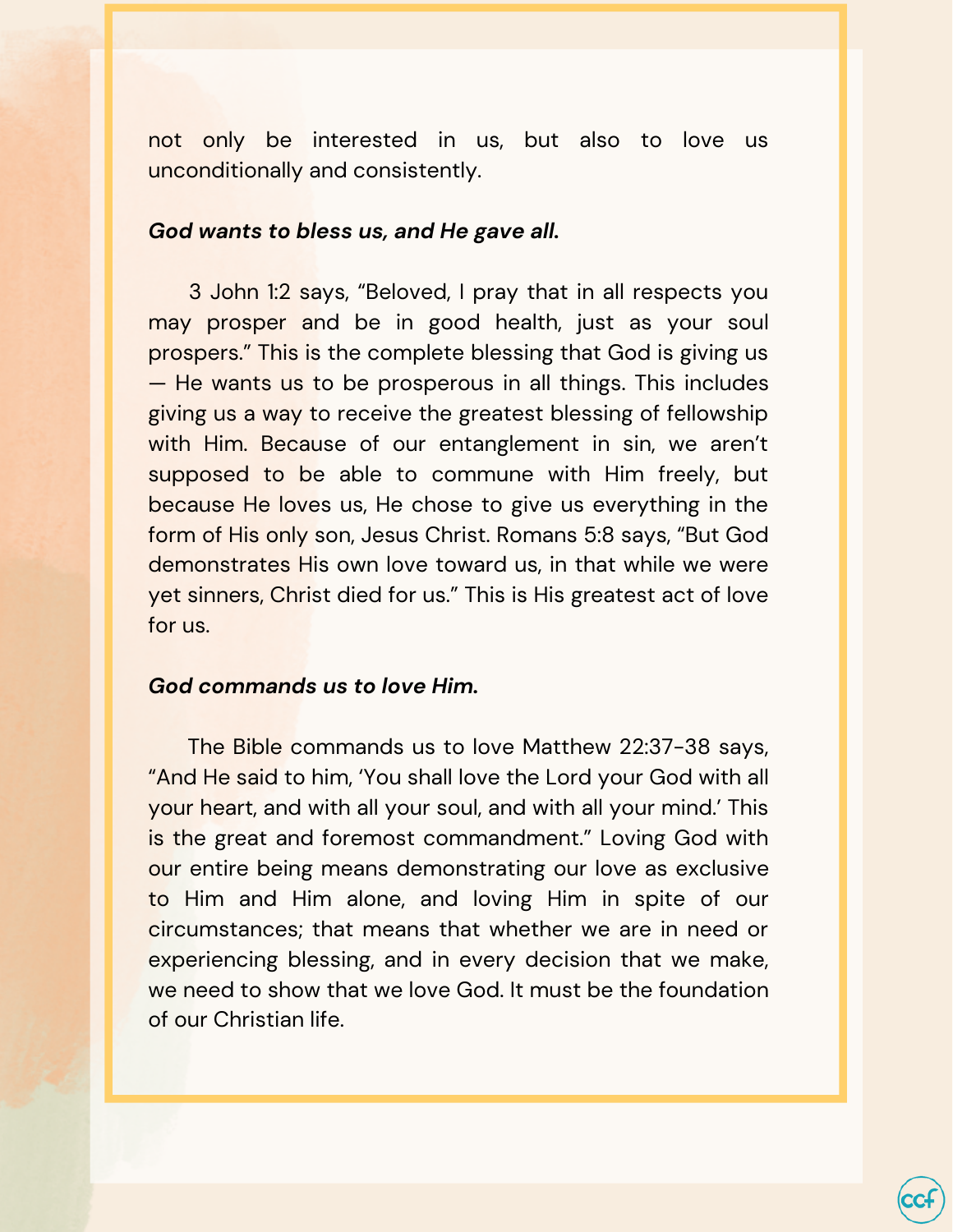not only be interested in us, but also to love us unconditionally and consistently.

#### *God wants to bless us, and He gave all.*

3 John 1:2 says, "Beloved, I pray that in all respects you may prosper and be in good health, just as your soul prospers." This is the complete blessing that God is giving us — He wants us to be prosperous in all things. This includes giving us a way to receive the greatest blessing of fellowship with Him. Because of our entanglement in sin, we aren't supposed to be able to commune with Him freely, but because He loves us, He chose to give us everything in the form of His only son, Jesus Christ. Romans 5:8 says, "But God demonstrates His own love toward us, in that while we were yet sinners, Christ died for us." This is His greatest act of love for us.

#### *God commands us to love Him.*

The Bible commands us to love Matthew 22:37-38 says, "And He said to him, 'You shall love the Lord your God with all your heart, and with all your soul, and with all your mind.' This is the great and foremost commandment." Loving God with our entire being means demonstrating our love as exclusive to Him and Him alone, and loving Him in spite of our circumstances; that means that whether we are in need or experiencing blessing, and in every decision that we make, we need to show that we love God. It must be the foundation of our Christian life.